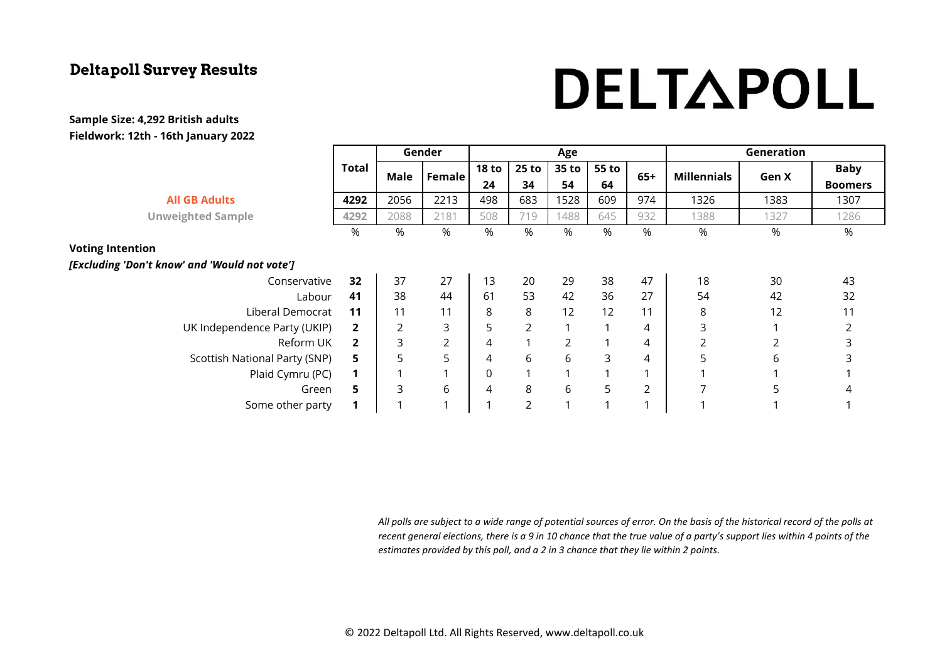# DELTAPOLL

#### **Sample Size: 4,292 British adults Fieldwork: 12th - 16th January 2022**

|                                               |                | Gender |                | Age              |                |                |             |       | Generation         |       |                |
|-----------------------------------------------|----------------|--------|----------------|------------------|----------------|----------------|-------------|-------|--------------------|-------|----------------|
|                                               | Total          | Male   | Female         | <b>18 to</b>     | $25$ to        | 35 to          | 55 to<br>64 | $65+$ | <b>Millennials</b> | Gen X | <b>Baby</b>    |
|                                               |                |        |                | 24               | 34             | 54             |             |       |                    |       | <b>Boomers</b> |
| <b>All GB Adults</b>                          | 4292           | 2056   | 2213           | 498              | 683            | 1528           | 609         | 974   | 1326               | 1383  | 1307           |
| <b>Unweighted Sample</b>                      | 4292           | 2088   | 2181           | 508              | 719            | 1488           | 645         | 932   | 1388               | 1327  | 1286           |
|                                               | %              | %      | %              | %                | %              | %              | %           | %     | %                  | %     | %              |
| <b>Voting Intention</b>                       |                |        |                |                  |                |                |             |       |                    |       |                |
| [Excluding 'Don't know' and 'Would not vote'] |                |        |                |                  |                |                |             |       |                    |       |                |
| Conservative                                  | 32             | 37     | 27             | 13               | 20             | 29             | 38          | 47    | 18                 | 30    | 43             |
| Labour                                        | 41             | 38     | 44             | 61               | 53             | 42             | 36          | 27    | 54                 | 42    | 32             |
| Liberal Democrat                              | 11             | 11     | 11             | 8                | 8              | 12             | 12          | 11    | 8                  | 12    | 11             |
| UK Independence Party (UKIP)                  | $\mathbf{2}$   | 2      | 3              | 5                | 2              |                |             | 4     | 3                  |       | 2              |
| Reform UK                                     | $\overline{2}$ | 3      | $\overline{2}$ | 4                | $\overline{ }$ | $\overline{2}$ |             | 4     | $\overline{2}$     |       | 3              |
| Scottish National Party (SNP)                 | 5              | 5      | 5              | 4                | 6              | 6              | 3           | 4     | 5                  | 6     | 3              |
| Plaid Cymru (PC)                              | 1              |        |                | $\boldsymbol{0}$ |                |                |             |       |                    |       |                |
| Green                                         | 5              | 3      | 6              | 4                | 8              | 6              | 5           | 2     |                    | 5     | 4              |
| Some other party                              | 1              |        |                |                  | 2              |                |             |       |                    |       |                |

*All polls are subject to a wide range of potential sources of error. On the basis of the historical record of the polls at recent general elections, there is a 9 in 10 chance that the true value of a party's support lies within 4 points of the estimates provided by this poll, and a 2 in 3 chance that they lie within 2 points.*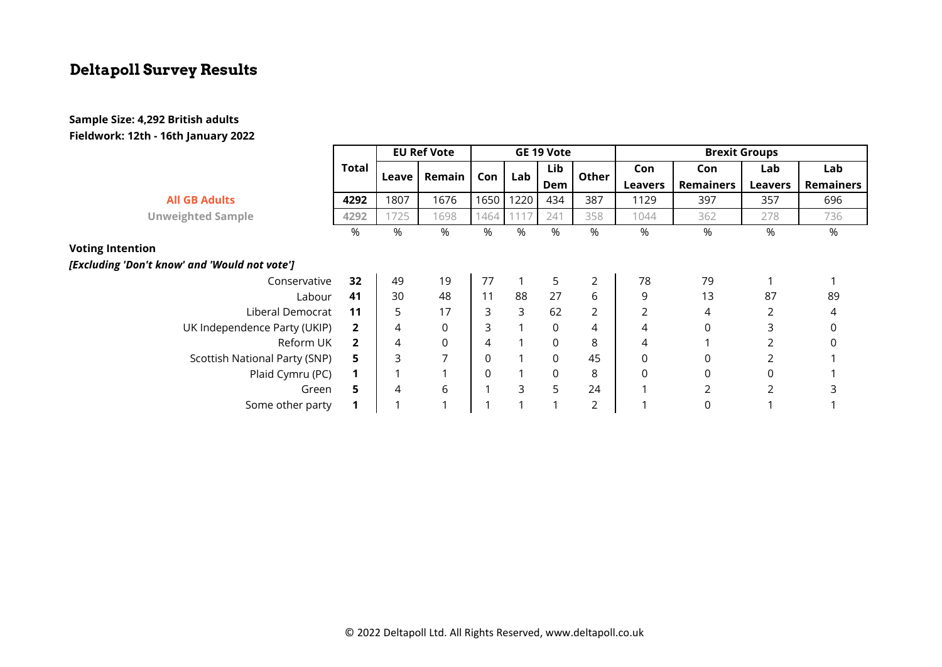#### **Sample Size: 4,292 British adults Fieldwork: 12th - 16th January 2022**

|                                               |              | <b>EU Ref Vote</b> |                | GE 19 Vote |             |            |                | <b>Brexit Groups</b> |             |                |                  |
|-----------------------------------------------|--------------|--------------------|----------------|------------|-------------|------------|----------------|----------------------|-------------|----------------|------------------|
|                                               | Total        | Leave              | Remain         | Con        | Lab         | Lib<br>Dem | Other          | Con                  | Con         | Lab            | Lab              |
|                                               |              |                    |                |            |             |            |                | <b>Leavers</b>       | Remainers   | <b>Leavers</b> | <b>Remainers</b> |
| <b>All GB Adults</b>                          | 4292         | 1807               | 1676           | 1650       | 1220        | 434        | 387            | 1129                 | 397         | 357            | 696              |
| <b>Unweighted Sample</b>                      | 4292         | 1725               | 1698           | 1464       | 111         | 241        | 358            | 1044                 | 362         | 278            | 736              |
|                                               | %            | %                  | %              | $\%$       | %           | %          | %              | %                    | %           | %              | %                |
| <b>Voting Intention</b>                       |              |                    |                |            |             |            |                |                      |             |                |                  |
| [Excluding 'Don't know' and 'Would not vote'] |              |                    |                |            |             |            |                |                      |             |                |                  |
| Conservative                                  | 32           | 49                 | 19             | 77         | $\mathbf 1$ | 5          | $\overline{2}$ | 78                   | 79          |                |                  |
| Labour                                        | 41           | 30                 | 48             | 11         | 88          | 27         | 6              | 9                    | 13          | 87             | 89               |
| Liberal Democrat                              | 11           | 5                  | 17             | 3          | 3           | 62         | 2              |                      | 4           |                | 4                |
| UK Independence Party (UKIP)                  | $\mathbf{2}$ | 4                  | 0              | 3          |             | 0          | 4              | 4                    | $\mathbf 0$ | 3              | 0                |
| Reform UK                                     | $\mathbf{2}$ | 4                  | 0              | 4          |             | 0          | 8              | 4                    |             | 2              |                  |
| Scottish National Party (SNP)                 | 5.           | 3                  | $\overline{ }$ | 0          |             | 0          | 45             | $\mathbf 0$          |             |                |                  |
| Plaid Cymru (PC)                              |              |                    |                | 0          |             | 0          | 8              | 0                    | 0           | 0              |                  |
| Green                                         | 5.           | 4                  | 6              |            | 3           | 5          | 24             |                      |             | $\overline{2}$ |                  |
| Some other party                              |              |                    |                |            |             |            | 2              |                      |             |                |                  |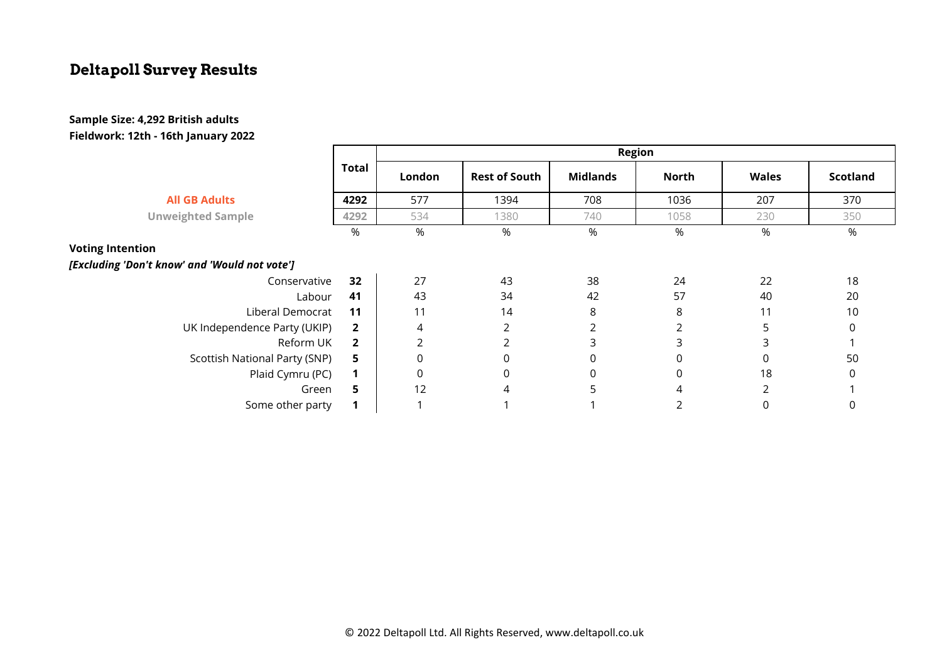#### **Sample Size: 4,292 British adults Fieldwork: 12th - 16th January 2022**

|                                               |                | <b>Region</b>  |                      |                 |              |              |                 |  |  |  |
|-----------------------------------------------|----------------|----------------|----------------------|-----------------|--------------|--------------|-----------------|--|--|--|
|                                               | <b>Total</b>   | London         | <b>Rest of South</b> | <b>Midlands</b> | <b>North</b> | <b>Wales</b> | <b>Scotland</b> |  |  |  |
| <b>All GB Adults</b>                          | 4292           | 577            | 1394                 | 708             | 1036         | 207          | 370             |  |  |  |
| <b>Unweighted Sample</b>                      | 4292           | 534            | 1380                 | 740             | 1058         | 230          | 350             |  |  |  |
|                                               | $\%$           | %              | %                    | %               | $\%$         | %            | %               |  |  |  |
| <b>Voting Intention</b>                       |                |                |                      |                 |              |              |                 |  |  |  |
| [Excluding 'Don't know' and 'Would not vote'] |                |                |                      |                 |              |              |                 |  |  |  |
| Conservative                                  | 32             | 27             | 43                   | 38              | 24           | 22           | 18              |  |  |  |
| Labour                                        | 41             | 43             | 34                   | 42              | 57           | 40           | 20              |  |  |  |
| Liberal Democrat                              | 11             | 11             | 14                   | 8               | 8            | 11           | 10              |  |  |  |
| UK Independence Party (UKIP)                  | $\overline{2}$ | 4              | 2                    | 2               |              | 5            | 0               |  |  |  |
| Reform UK                                     | $\overline{2}$ | $\overline{2}$ | 2                    | 3               | 3            | 3            |                 |  |  |  |
| Scottish National Party (SNP)                 | 5              | 0              | $\mathbf 0$          | $\mathbf 0$     | 0            | 0            | 50              |  |  |  |
| Plaid Cymru (PC)                              | $\mathbf 1$    | 0              | 0                    | 0               | 0            | 18           | 0               |  |  |  |
| Green                                         | 5              | 12             | 4                    | 5               | 4            | 2            |                 |  |  |  |
| Some other party                              |                |                |                      |                 |              |              | 0               |  |  |  |